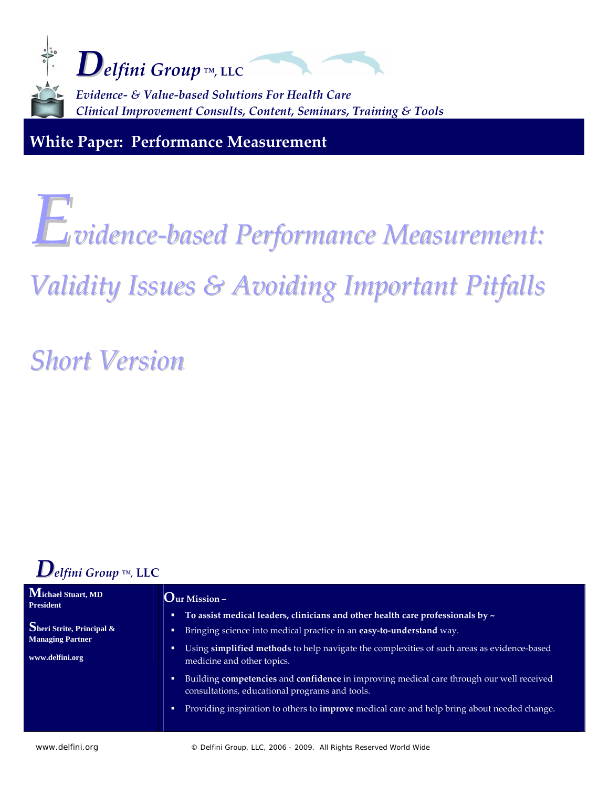

**White Paper: Performance Measurement**

# *Evidence‐based Performance Measurement:*

## *Validity Issues & Avoiding Important Pitfalls*

*Short Version*



#### **Michael Stuart, MD President Sheri Strite, Principal & Managing Partner www.delfini.org Our Mission – To assist medical leaders, clinicians and other health care professionals by ~** Bringing science into medical practice in an **easy‐to‐understand** way. ■ Using **simplified methods** to help navigate the complexities of such areas as evidence-based medicine and other topics. Building **competencies** and **confidence** in improving medical care through our well received consultations, educational programs and tools. Providing inspiration to others to **improve** medical care and help bring about needed change.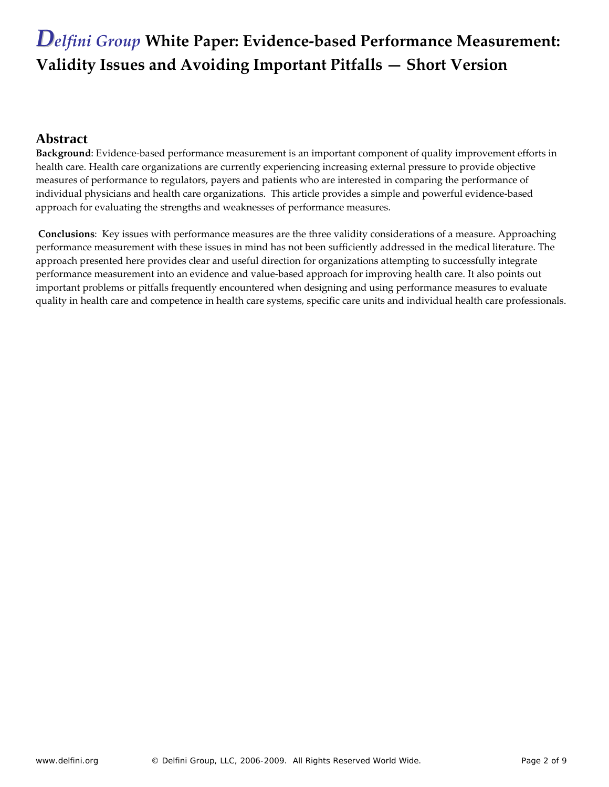#### **Abstract**

**Background**: Evidence-based performance measurement is an important component of quality improvement efforts in health care. Health care organizations are currently experiencing increasing external pressure to provide objective measures of performance to regulators, payers and patients who are interested in comparing the performance of individual physicians and health care organizations. This article provides a simple and powerful evidence‐based approach for evaluating the strengths and weaknesses of performance measures.

**Conclusions**: Key issues with performance measures are the three validity considerations of a measure. Approaching performance measurement with these issues in mind has not been sufficiently addressed in the medical literature. The approach presented here provides clear and useful direction for organizations attempting to successfully integrate performance measurement into an evidence and value‐based approach for improving health care. It also points out important problems or pitfalls frequently encountered when designing and using performance measures to evaluate quality in health care and competence in health care systems, specific care units and individual health care professionals.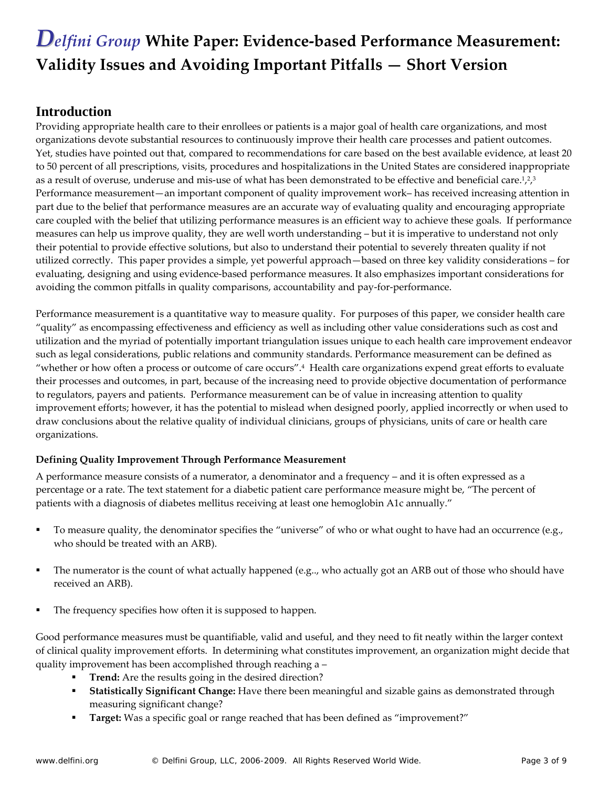#### **Introduction**

Providing appropriate health care to their enrollees or patients is a major goal of health care organizations, and most organizations devote substantial resources to continuously improve their health care processes and patient outcomes. Yet, studies have pointed out that, compared to recommendations for care based on the best available evidence, at least 20 to 50 percent of all prescriptions, visits, procedures and hospitalizations in the United States are considered inappropriate as a result of overuse, underuse and mis-use of what has been demonstrated to be effective and beneficial care.<sup>1,2,3</sup> Performance measurement—an important component of quality improvement work– has received increasing attention in part due to the belief that performance measures are an accurate way of evaluating quality and encouraging appropriate care coupled with the belief that utilizing performance measures is an efficient way to achieve these goals. If performance measures can help us improve quality, they are well worth understanding – but it is imperative to understand not only their potential to provide effective solutions, but also to understand their potential to severely threaten quality if not utilized correctly.This paper provides a simple, yet powerful approach—based on three key validity considerations – for evaluating, designing and using evidence‐based performance measures. It also emphasizes important considerations for avoiding the common pitfalls in quality comparisons, accountability and pay‐for‐performance.

Performance measurement is a quantitative way to measure quality. For purposes of this paper, we consider health care "quality" as encompassing effectiveness and efficiency as well as including other value considerations such as cost and utilization and the myriad of potentially important triangulation issues unique to each health care improvement endeavor such as legal considerations, public relations and community standards. Performance measurement can be defined as "whether or how often a process or outcome of care occurs".4 Health care organizations expend great efforts to evaluate their processes and outcomes, in part, because of the increasing need to provide objective documentation of performance to regulators, payers and patients. Performance measurement can be of value in increasing attention to quality improvement efforts; however, it has the potential to mislead when designed poorly, applied incorrectly or when used to draw conclusions about the relative quality of individual clinicians, groups of physicians, units of care or health care organizations.

#### **Defining Quality Improvement Through Performance Measurement**

A performance measure consists of a numerator, a denominator and a frequency – and it is often expressed as a percentage or a rate. The text statement for a diabetic patient care performance measure might be, "The percent of patients with a diagnosis of diabetes mellitus receiving at least one hemoglobin A1c annually."

- To measure quality, the denominator specifies the "universe" of who or what ought to have had an occurrence (e.g., who should be treated with an ARB).
- The numerator is the count of what actually happened (e.g.., who actually got an ARB out of those who should have received an ARB).
- The frequency specifies how often it is supposed to happen.

Good performance measures must be quantifiable, valid and useful, and they need to fit neatly within the larger context of clinical quality improvement efforts. In determining what constitutes improvement, an organization might decide that quality improvement has been accomplished through reaching a –

- **Trend:** Are the results going in the desired direction?
- **Statistically Significant Change:** Have there been meaningful and sizable gains as demonstrated through measuring significant change?
- **Target:** Was a specific goal or range reached that has been defined as "improvement?"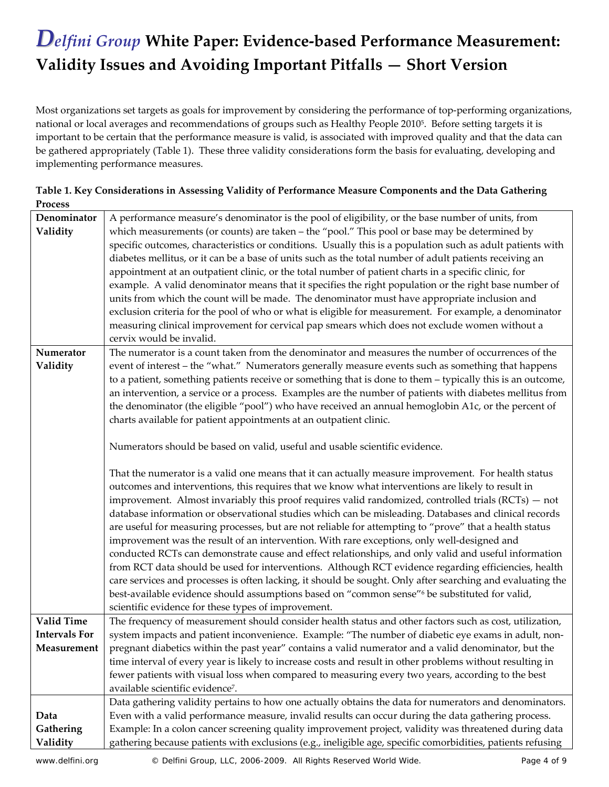Most organizations set targets as goals for improvement by considering the performance of top-performing organizations, national or local averages and recommendations of groups such as Healthy People 20105. Before setting targets it is important to be certain that the performance measure is valid, is associated with improved quality and that the data can be gathered appropriately (Table 1). These three validity considerations form the basis for evaluating, developing and implementing performance measures.

| <b>Process</b>       |                                                                                                             |
|----------------------|-------------------------------------------------------------------------------------------------------------|
| Denominator          | A performance measure's denominator is the pool of eligibility, or the base number of units, from           |
| Validity             | which measurements (or counts) are taken - the "pool." This pool or base may be determined by               |
|                      | specific outcomes, characteristics or conditions. Usually this is a population such as adult patients with  |
|                      | diabetes mellitus, or it can be a base of units such as the total number of adult patients receiving an     |
|                      | appointment at an outpatient clinic, or the total number of patient charts in a specific clinic, for        |
|                      | example. A valid denominator means that it specifies the right population or the right base number of       |
|                      | units from which the count will be made. The denominator must have appropriate inclusion and                |
|                      | exclusion criteria for the pool of who or what is eligible for measurement. For example, a denominator      |
|                      |                                                                                                             |
|                      | measuring clinical improvement for cervical pap smears which does not exclude women without a               |
|                      | cervix would be invalid.                                                                                    |
| Numerator            | The numerator is a count taken from the denominator and measures the number of occurrences of the           |
| Validity             | event of interest - the "what." Numerators generally measure events such as something that happens          |
|                      | to a patient, something patients receive or something that is done to them - typically this is an outcome,  |
|                      | an intervention, a service or a process. Examples are the number of patients with diabetes mellitus from    |
|                      | the denominator (the eligible "pool") who have received an annual hemoglobin A1c, or the percent of         |
|                      | charts available for patient appointments at an outpatient clinic.                                          |
|                      |                                                                                                             |
|                      | Numerators should be based on valid, useful and usable scientific evidence.                                 |
|                      |                                                                                                             |
|                      | That the numerator is a valid one means that it can actually measure improvement. For health status         |
|                      | outcomes and interventions, this requires that we know what interventions are likely to result in           |
|                      | improvement. Almost invariably this proof requires valid randomized, controlled trials $(RCTs)$ – not       |
|                      | database information or observational studies which can be misleading. Databases and clinical records       |
|                      | are useful for measuring processes, but are not reliable for attempting to "prove" that a health status     |
|                      | improvement was the result of an intervention. With rare exceptions, only well-designed and                 |
|                      | conducted RCTs can demonstrate cause and effect relationships, and only valid and useful information        |
|                      | from RCT data should be used for interventions. Although RCT evidence regarding efficiencies, health        |
|                      | care services and processes is often lacking, it should be sought. Only after searching and evaluating the  |
|                      | best-available evidence should assumptions based on "common sense" <sup>6</sup> be substituted for valid,   |
|                      |                                                                                                             |
| <b>Valid Time</b>    | scientific evidence for these types of improvement.                                                         |
|                      | The frequency of measurement should consider health status and other factors such as cost, utilization,     |
| <b>Intervals For</b> | system impacts and patient inconvenience. Example: "The number of diabetic eye exams in adult, non-         |
| Measurement          | pregnant diabetics within the past year" contains a valid numerator and a valid denominator, but the        |
|                      | time interval of every year is likely to increase costs and result in other problems without resulting in   |
|                      | fewer patients with visual loss when compared to measuring every two years, according to the best           |
|                      | available scientific evidence <sup>7</sup> .                                                                |
|                      | Data gathering validity pertains to how one actually obtains the data for numerators and denominators.      |
| Data                 | Even with a valid performance measure, invalid results can occur during the data gathering process.         |
| Gathering            | Example: In a colon cancer screening quality improvement project, validity was threatened during data       |
| Validity             | gathering because patients with exclusions (e.g., ineligible age, specific comorbidities, patients refusing |

**Table 1. Key Considerations in Assessing Validity of Performance Measure Components and the Data Gathering**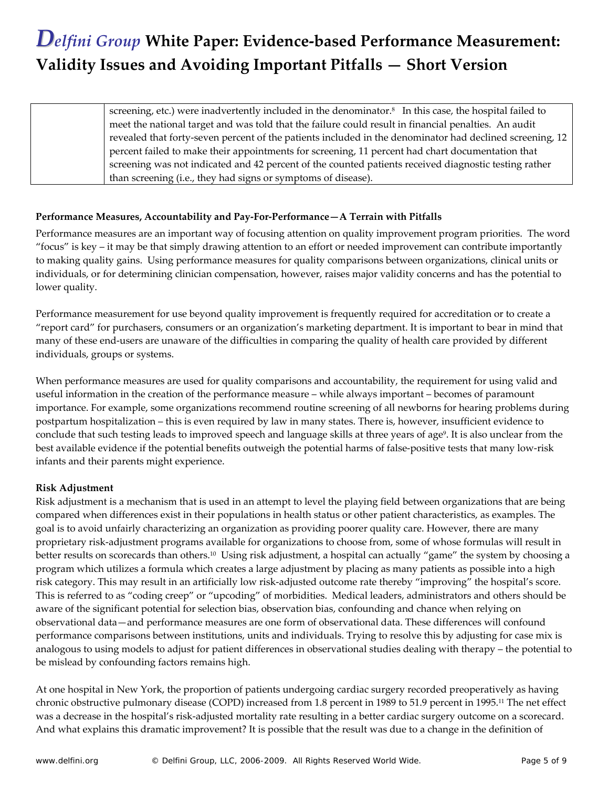screening, etc.) were inadvertently included in the denominator.<sup>8</sup> In this case, the hospital failed to meet the national target and was told that the failure could result in financial penalties. An audit revealed that forty‐seven percent of the patients included in the denominator had declined screening, 12 percent failed to make their appointments for screening, 11 percent had chart documentation that screening was not indicated and 42 percent of the counted patients received diagnostic testing rather than screening (i.e., they had signs or symptoms of disease).

#### **Performance Measures, Accountability and Pay‐For‐Performance—A Terrain with Pitfalls**

Performance measures are an important way of focusing attention on quality improvement program priorities. The word "focus" is key – it may be that simply drawing attention to an effort or needed improvement can contribute importantly to making quality gains. Using performance measures for quality comparisons between organizations, clinical units or individuals, or for determining clinician compensation, however, raises major validity concerns and has the potential to lower quality.

Performance measurement for use beyond quality improvement is frequently required for accreditation or to create a "report card" for purchasers, consumers or an organization's marketing department. It is important to bear in mind that many of these end-users are unaware of the difficulties in comparing the quality of health care provided by different individuals, groups or systems.

When performance measures are used for quality comparisons and accountability, the requirement for using valid and useful information in the creation of the performance measure – while always important – becomes of paramount importance. For example, some organizations recommend routine screening of all newborns for hearing problems during postpartum hospitalization – this is even required by law in many states. There is, however, insufficient evidence to conclude that such testing leads to improved speech and language skills at three years of age<sup>9</sup>. It is also unclear from the best available evidence if the potential benefits outweigh the potential harms of false-positive tests that many low-risk infants and their parents might experience.

#### **Risk Adjustment**

Risk adjustment is a mechanism that is used in an attempt to level the playing field between organizations that are being compared when differences exist in their populations in health status or other patient characteristics, as examples. The goal is to avoid unfairly characterizing an organization as providing poorer quality care. However, there are many proprietary risk‐adjustment programs available for organizations to choose from, some of whose formulas will result in better results on scorecards than others.10 Using risk adjustment, a hospital can actually "game" the system by choosing a program which utilizes a formula which creates a large adjustment by placing as many patients as possible into a high risk category. This may result in an artificially low risk‐adjusted outcome rate thereby "improving" the hospital's score. This is referred to as "coding creep" or "upcoding" of morbidities. Medical leaders, administrators and others should be aware of the significant potential for selection bias, observation bias, confounding and chance when relying on observational data—and performance measures are one form of observational data. These differences will confound performance comparisons between institutions, units and individuals. Trying to resolve this by adjusting for case mix is analogous to using models to adjust for patient differences in observational studies dealing with therapy – the potential to be mislead by confounding factors remains high.

At one hospital in New York, the proportion of patients undergoing cardiac surgery recorded preoperatively as having chronic obstructive pulmonary disease (COPD) increased from 1.8 percent in 1989 to 51.9 percent in 1995.11 The net effect was a decrease in the hospital's risk-adjusted mortality rate resulting in a better cardiac surgery outcome on a scorecard. And what explains this dramatic improvement? It is possible that the result was due to a change in the definition of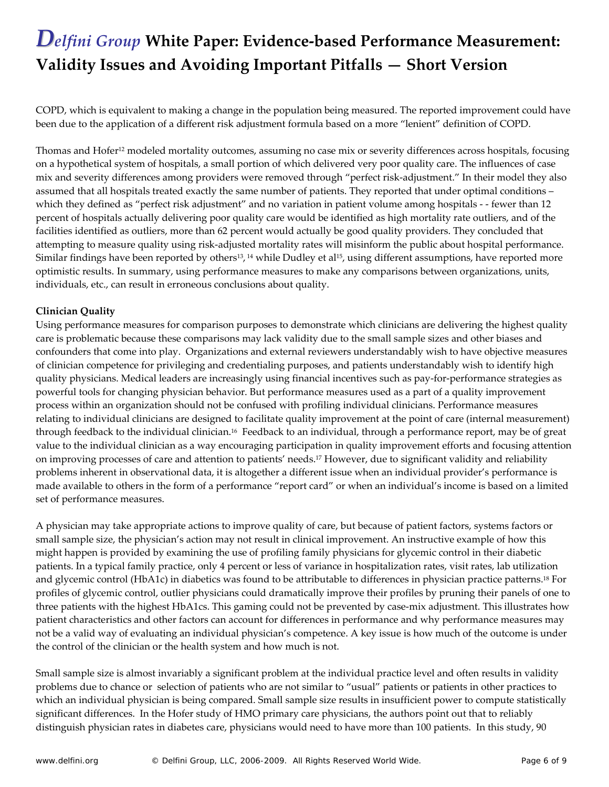COPD, which is equivalent to making a change in the population being measured. The reported improvement could have been due to the application of a different risk adjustment formula based on a more "lenient" definition of COPD.

Thomas and Hofer<sup>12</sup> modeled mortality outcomes, assuming no case mix or severity differences across hospitals, focusing on a hypothetical system of hospitals, a small portion of which delivered very poor quality care. The influences of case mix and severity differences among providers were removed through "perfect risk-adjustment." In their model they also assumed that all hospitals treated exactly the same number of patients. They reported that under optimal conditions – which they defined as "perfect risk adjustment" and no variation in patient volume among hospitals ‐ ‐ fewer than 12 percent of hospitals actually delivering poor quality care would be identified as high mortality rate outliers, and of the facilities identified as outliers, more than 62 percent would actually be good quality providers. They concluded that attempting to measure quality using risk‐adjusted mortality rates will misinform the public about hospital performance. Similar findings have been reported by others<sup>13</sup>, <sup>14</sup> while Dudley et al<sup>15</sup>, using different assumptions, have reported more optimistic results. In summary, using performance measures to make any comparisons between organizations, units, individuals, etc., can result in erroneous conclusions about quality.

#### **Clinician Quality**

Using performance measures for comparison purposes to demonstrate which clinicians are delivering the highest quality care is problematic because these comparisons may lack validity due to the small sample sizes and other biases and confounders that come into play. Organizations and external reviewers understandably wish to have objective measures of clinician competence for privileging and credentialing purposes, and patients understandably wish to identify high quality physicians. Medical leaders are increasingly using financial incentives such as pay‐for‐performance strategies as powerful tools for changing physician behavior. But performance measures used as a part of a quality improvement process within an organization should not be confused with profiling individual clinicians. Performance measures relating to individual clinicians are designed to facilitate quality improvement at the point of care (internal measurement) through feedback to the individual clinician.16 Feedback to an individual, through a performance report, may be of great value to the individual clinician as a way encouraging participation in quality improvement efforts and focusing attention on improving processes of care and attention to patients' needs.17 However, due to significant validity and reliability problems inherent in observational data, it is altogether a different issue when an individual provider's performance is made available to others in the form of a performance "report card" or when an individual's income is based on a limited set of performance measures.

A physician may take appropriate actions to improve quality of care, but because of patient factors, systems factors or small sample size, the physician's action may not result in clinical improvement. An instructive example of how this might happen is provided by examining the use of profiling family physicians for glycemic control in their diabetic patients. In a typical family practice, only 4 percent or less of variance in hospitalization rates, visit rates, lab utilization and glycemic control (HbA1c) in diabetics was found to be attributable to differences in physician practice patterns.18 For profiles of glycemic control, outlier physicians could dramatically improve their profiles by pruning their panels of one to three patients with the highest HbA1cs. This gaming could not be prevented by case-mix adjustment. This illustrates how patient characteristics and other factors can account for differences in performance and why performance measures may not be a valid way of evaluating an individual physician's competence. A key issue is how much of the outcome is under the control of the clinician or the health system and how much is not.

Small sample size is almost invariably a significant problem at the individual practice level and often results in validity problems due to chance or selection of patients who are not similar to "usual" patients or patients in other practices to which an individual physician is being compared. Small sample size results in insufficient power to compute statistically significant differences. In the Hofer study of HMO primary care physicians, the authors point out that to reliably distinguish physician rates in diabetes care, physicians would need to have more than 100 patients. In this study, 90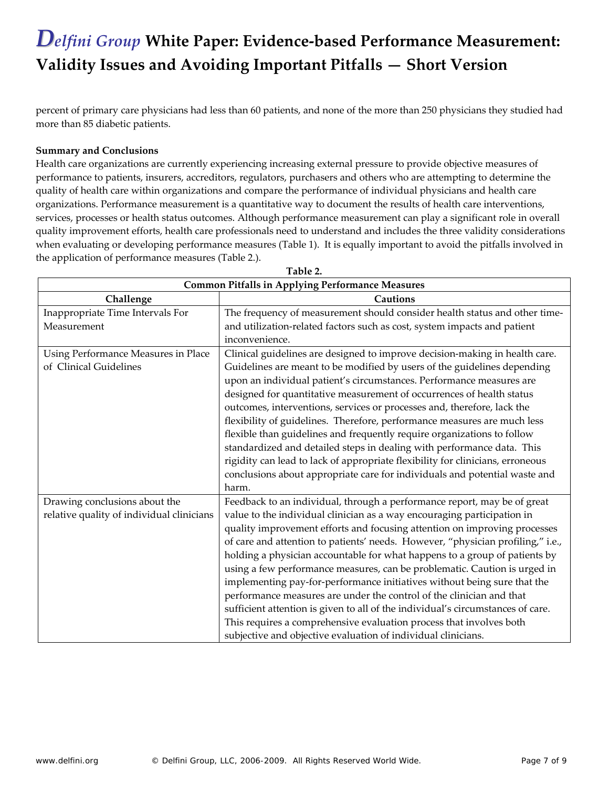percent of primary care physicians had less than 60 patients, and none of the more than 250 physicians they studied had more than 85 diabetic patients.

#### **Summary and Conclusions**

Health care organizations are currently experiencing increasing external pressure to provide objective measures of performance to patients, insurers, accreditors, regulators, purchasers and others who are attempting to determine the quality of health care within organizations and compare the performance of individual physicians and health care organizations. Performance measurement is a quantitative way to document the results of health care interventions, services, processes or health status outcomes. Although performance measurement can play a significant role in overall quality improvement efforts, health care professionals need to understand and includes the three validity considerations when evaluating or developing performance measures (Table 1). It is equally important to avoid the pitfalls involved in the application of performance measures (Table 2.).

| Table 2.                                                |                                                                                 |  |  |
|---------------------------------------------------------|---------------------------------------------------------------------------------|--|--|
| <b>Common Pitfalls in Applying Performance Measures</b> |                                                                                 |  |  |
| Challenge                                               | <b>Cautions</b>                                                                 |  |  |
| Inappropriate Time Intervals For                        | The frequency of measurement should consider health status and other time-      |  |  |
| Measurement                                             | and utilization-related factors such as cost, system impacts and patient        |  |  |
|                                                         | inconvenience.                                                                  |  |  |
| Using Performance Measures in Place                     | Clinical guidelines are designed to improve decision-making in health care.     |  |  |
| of Clinical Guidelines                                  | Guidelines are meant to be modified by users of the guidelines depending        |  |  |
|                                                         | upon an individual patient's circumstances. Performance measures are            |  |  |
|                                                         | designed for quantitative measurement of occurrences of health status           |  |  |
|                                                         | outcomes, interventions, services or processes and, therefore, lack the         |  |  |
|                                                         | flexibility of guidelines. Therefore, performance measures are much less        |  |  |
|                                                         | flexible than guidelines and frequently require organizations to follow         |  |  |
|                                                         | standardized and detailed steps in dealing with performance data. This          |  |  |
|                                                         | rigidity can lead to lack of appropriate flexibility for clinicians, erroneous  |  |  |
|                                                         | conclusions about appropriate care for individuals and potential waste and      |  |  |
|                                                         | harm.                                                                           |  |  |
| Drawing conclusions about the                           | Feedback to an individual, through a performance report, may be of great        |  |  |
| relative quality of individual clinicians               | value to the individual clinician as a way encouraging participation in         |  |  |
|                                                         | quality improvement efforts and focusing attention on improving processes       |  |  |
|                                                         | of care and attention to patients' needs. However, "physician profiling," i.e., |  |  |
|                                                         | holding a physician accountable for what happens to a group of patients by      |  |  |
|                                                         | using a few performance measures, can be problematic. Caution is urged in       |  |  |
|                                                         | implementing pay-for-performance initiatives without being sure that the        |  |  |
|                                                         | performance measures are under the control of the clinician and that            |  |  |
|                                                         | sufficient attention is given to all of the individual's circumstances of care. |  |  |
|                                                         | This requires a comprehensive evaluation process that involves both             |  |  |
|                                                         | subjective and objective evaluation of individual clinicians.                   |  |  |

**Table 2.**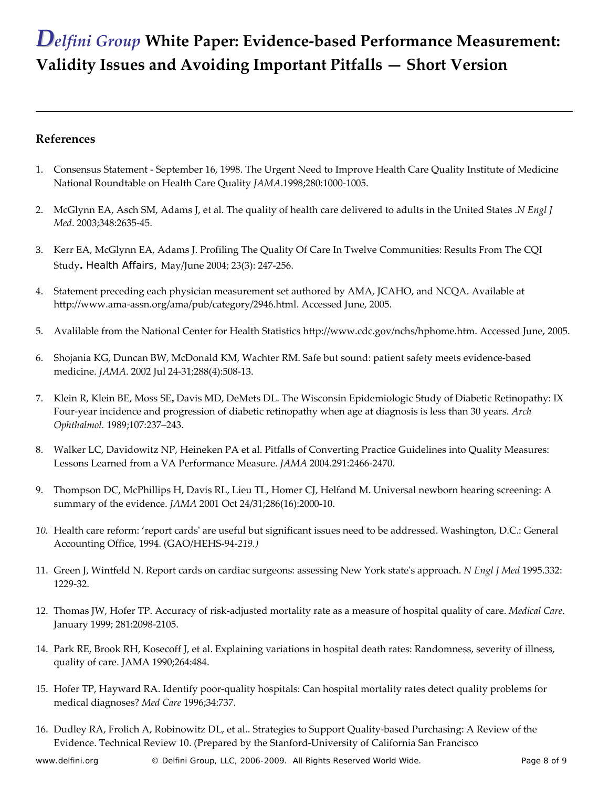#### **References**

 $\overline{a}$ 

- 1. Consensus Statement ‐ September 16, 1998. The Urgent Need to Improve Health Care Quality Institute of Medicine National Roundtable on Health Care Quality *JAMA*.1998;280:1000‐1005.
- 2. McGlynn EA, Asch SM, Adams J, et al. The quality of health care delivered to adults in the United States .*N Engl J Med*. 2003;348:2635‐45.
- 3. Kerr EA, McGlynn EA, Adams J. Profiling The Quality Of Care In Twelve Communities: Results From The CQI Study**.** *Health Affairs*, May/June 2004; 23(3): 247‐256.
- 4. Statement preceding each physician measurement set authored by AMA, JCAHO, and NCQA. Available at http://www.ama‐assn.org/ama/pub/category/2946.html. Accessed June, 2005.
- 5. Avalilable from the National Center for Health Statistics http://www.cdc.gov/nchs/hphome.htm. Accessed June, 2005.
- 6. Shojania KG, Duncan BW, McDonald KM, Wachter RM. Safe but sound: patient safety meets evidence‐based medicine. *JAMA*. 2002 Jul 24‐31;288(4):508‐13.
- 7. Klein R, Klein BE, Moss SE**,** Davis MD, DeMets DL. The Wisconsin Epidemiologic Study of Diabetic Retinopathy: IX Four‐year incidence and progression of diabetic retinopathy when age at diagnosis is less than 30 years. *Arch Ophthalmol.* 1989;107:237–243.
- 8. Walker LC, Davidowitz NP, Heineken PA et al. Pitfalls of Converting Practice Guidelines into Quality Measures: Lessons Learned from a VA Performance Measure. *JAMA* 2004.291:2466‐2470.
- 9. Thompson DC, McPhillips H, Davis RL, Lieu TL, Homer CJ, Helfand M. Universal newborn hearing screening: A summary of the evidence. *JAMA* 2001 Oct 24/31;286(16):2000‐10.
- *10.* Health care reform: 'report cardsʹ are useful but significant issues need to be addressed. Washington, D.C.: General Accounting Office, 1994. (GAO/HEHS‐94‐*219.)*
- 11. Green J, Wintfeld N. Report cards on cardiac surgeons: assessing New York stateʹs approach. *N Engl J Med* 1995.332: 1229‐32.
- 12. Thomas JW, Hofer TP. Accuracy of risk‐adjusted mortality rate as a measure of hospital quality of care. *Medical Care*. January 1999; 281:2098‐2105.
- 14. Park RE, Brook RH, Kosecoff J, et al. Explaining variations in hospital death rates: Randomness, severity of illness, quality of care. JAMA 1990;264:484.
- 15. Hofer TP, Hayward RA. Identify poor‐quality hospitals: Can hospital mortality rates detect quality problems for medical diagnoses? *Med Care* 1996;34:737.
- 16. Dudley RA, Frolich A, Robinowitz DL, et al.. Strategies to Support Quality‐based Purchasing: A Review of the Evidence. Technical Review 10. (Prepared by the Stanford‐University of California San Francisco